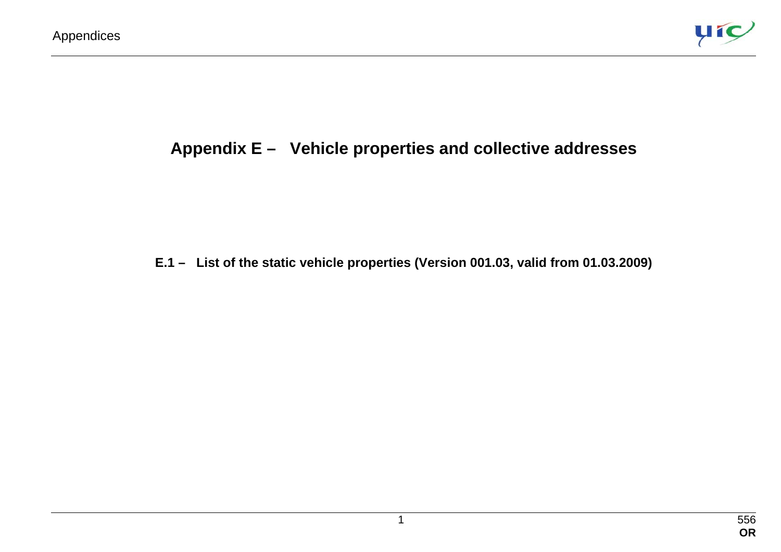

# **Appendix E – Vehicle properties and collective addresses**

#### **E.1 – List of the static vehicle properties (Version 001.03, valid from 01.03.2009)**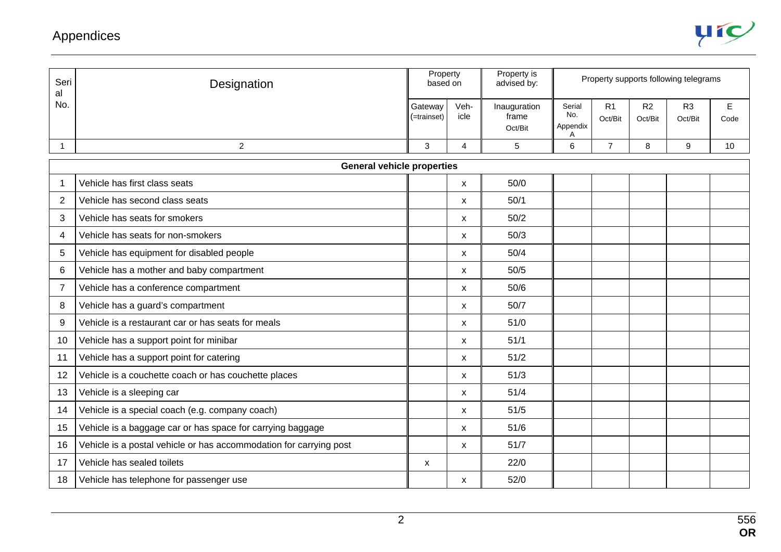

| Seri<br>al              | Designation                                                        | Property<br>based on   |                           | Property is<br>advised by:       | Property supports following telegrams |                           |               |                           |           |
|-------------------------|--------------------------------------------------------------------|------------------------|---------------------------|----------------------------------|---------------------------------------|---------------------------|---------------|---------------------------|-----------|
| No.                     |                                                                    | Gateway<br>(=trainset) | Veh-<br>icle              | Inauguration<br>frame<br>Oct/Bit | Serial<br>No.<br>Appendix<br>A        | R <sub>1</sub><br>Oct/Bit | R2<br>Oct/Bit | R <sub>3</sub><br>Oct/Bit | E<br>Code |
| 1                       | $\overline{2}$                                                     | 3                      | 4                         | 5                                | 6                                     | $\overline{7}$            | 8             | 9                         | 10        |
|                         | <b>General vehicle properties</b>                                  |                        |                           |                                  |                                       |                           |               |                           |           |
| $\mathbf{1}$            | Vehicle has first class seats                                      |                        | $\mathsf{x}$              | 50/0                             |                                       |                           |               |                           |           |
| 2                       | Vehicle has second class seats                                     |                        | $\mathsf{x}$              | 50/1                             |                                       |                           |               |                           |           |
| 3                       | Vehicle has seats for smokers                                      |                        | X                         | 50/2                             |                                       |                           |               |                           |           |
| $\overline{\mathbf{4}}$ | Vehicle has seats for non-smokers                                  |                        | X                         | 50/3                             |                                       |                           |               |                           |           |
| 5                       | Vehicle has equipment for disabled people                          |                        | X                         | 50/4                             |                                       |                           |               |                           |           |
| $\,6$                   | Vehicle has a mother and baby compartment                          |                        | X                         | 50/5                             |                                       |                           |               |                           |           |
| $\overline{7}$          | Vehicle has a conference compartment                               |                        | $\mathsf{x}$              | 50/6                             |                                       |                           |               |                           |           |
| 8                       | Vehicle has a guard's compartment                                  |                        | $\mathsf{x}$              | 50/7                             |                                       |                           |               |                           |           |
| 9                       | Vehicle is a restaurant car or has seats for meals                 |                        | $\mathsf{x}$              | 51/0                             |                                       |                           |               |                           |           |
| 10                      | Vehicle has a support point for minibar                            |                        | $\boldsymbol{\mathsf{X}}$ | 51/1                             |                                       |                           |               |                           |           |
| 11                      | Vehicle has a support point for catering                           |                        | $\mathsf{x}$              | 51/2                             |                                       |                           |               |                           |           |
| 12                      | Vehicle is a couchette coach or has couchette places               |                        | X                         | 51/3                             |                                       |                           |               |                           |           |
| 13                      | Vehicle is a sleeping car                                          |                        | X                         | 51/4                             |                                       |                           |               |                           |           |
| 14                      | Vehicle is a special coach (e.g. company coach)                    |                        | X                         | 51/5                             |                                       |                           |               |                           |           |
| 15                      | Vehicle is a baggage car or has space for carrying baggage         |                        | X                         | 51/6                             |                                       |                           |               |                           |           |
| 16                      | Vehicle is a postal vehicle or has accommodation for carrying post |                        | X                         | 51/7                             |                                       |                           |               |                           |           |
| 17                      | Vehicle has sealed toilets                                         | $\pmb{\mathsf{x}}$     |                           | 22/0                             |                                       |                           |               |                           |           |
| 18                      | Vehicle has telephone for passenger use                            |                        | X                         | 52/0                             |                                       |                           |               |                           |           |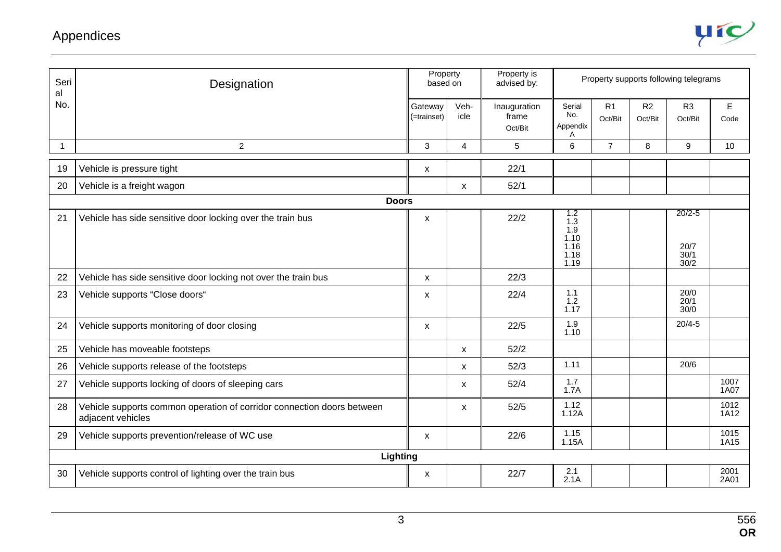

| Seri<br>al | Designation                                                                                 | Property<br>Property is<br>based on<br>advised by: |                |                                  |                                                   |                           | Property supports following telegrams |                                    |              |
|------------|---------------------------------------------------------------------------------------------|----------------------------------------------------|----------------|----------------------------------|---------------------------------------------------|---------------------------|---------------------------------------|------------------------------------|--------------|
| No.        |                                                                                             | Gateway<br>(=trainset)                             | Veh-<br>icle   | Inauguration<br>frame<br>Oct/Bit | Serial<br>No.<br>Appendix<br>A                    | R <sub>1</sub><br>Oct/Bit | R2<br>Oct/Bit                         | R <sub>3</sub><br>Oct/Bit          | E<br>Code    |
| -1         | $\overline{c}$                                                                              | 3                                                  | $\overline{4}$ | 5                                | 6                                                 | $\overline{7}$            | 8                                     | 9                                  | 10           |
| 19         | Vehicle is pressure tight                                                                   | X                                                  |                | 22/1                             |                                                   |                           |                                       |                                    |              |
| 20         | Vehicle is a freight wagon                                                                  |                                                    | X              | 52/1                             |                                                   |                           |                                       |                                    |              |
|            | <b>Doors</b>                                                                                |                                                    |                |                                  |                                                   |                           |                                       |                                    |              |
| 21         | Vehicle has side sensitive door locking over the train bus                                  | $\boldsymbol{\mathsf{x}}$                          |                | 22/2                             | 1.2<br>1.3<br>1.9<br>1.10<br>1.16<br>1.18<br>1.19 |                           |                                       | $20/2 - 5$<br>20/7<br>30/1<br>30/2 |              |
| 22         | Vehicle has side sensitive door locking not over the train bus                              | $\mathsf{x}$                                       |                | 22/3                             |                                                   |                           |                                       |                                    |              |
| 23         | Vehicle supports "Close doors"                                                              | X                                                  |                | 22/4                             | 1.1<br>1.2<br>1.17                                |                           |                                       | 20/0<br>20/1<br>30/0               |              |
| 24         | Vehicle supports monitoring of door closing                                                 | X                                                  |                | 22/5                             | 1.9<br>1.10                                       |                           |                                       | $20/4 - 5$                         |              |
| 25         | Vehicle has moveable footsteps                                                              |                                                    | X              | 52/2                             |                                                   |                           |                                       |                                    |              |
| 26         | Vehicle supports release of the footsteps                                                   |                                                    | X              | 52/3                             | 1.11                                              |                           |                                       | 20/6                               |              |
| 27         | Vehicle supports locking of doors of sleeping cars                                          |                                                    | X              | 52/4                             | 1.7<br>1.7A                                       |                           |                                       |                                    | 1007<br>1A07 |
| 28         | Vehicle supports common operation of corridor connection doors between<br>adjacent vehicles |                                                    | X              | 52/5                             | 1.12<br>1.12A                                     |                           |                                       |                                    | 1012<br>1A12 |
| 29         | Vehicle supports prevention/release of WC use                                               | $\boldsymbol{\mathsf{x}}$                          |                | 22/6                             | 1.15<br>1.15A                                     |                           |                                       |                                    | 1015<br>1A15 |
|            | Lighting                                                                                    |                                                    |                |                                  |                                                   |                           |                                       |                                    |              |
| 30         | Vehicle supports control of lighting over the train bus                                     | X                                                  |                | 22/7                             | 2.1<br>2.1A                                       |                           |                                       |                                    | 2001<br>2A01 |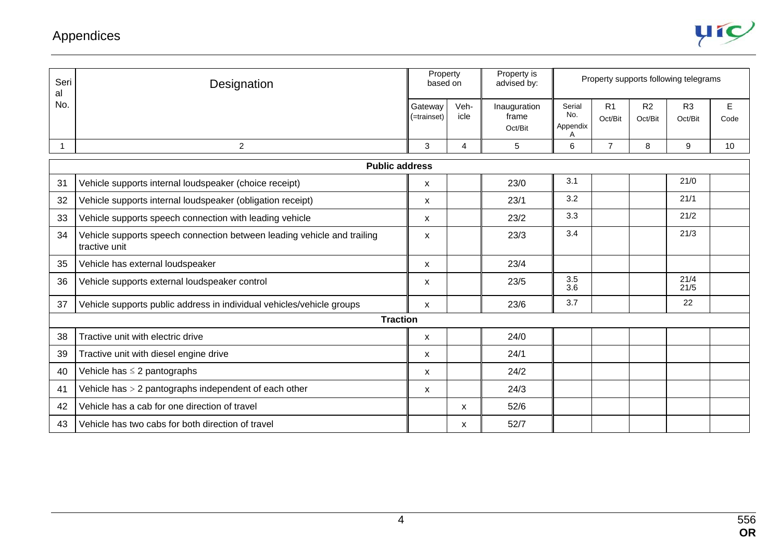

| Seri<br>al | Designation                                                                              | Property<br>based on   |                | Property is<br>advised by:       |                                |                           |                           | Property supports following telegrams |           |  |
|------------|------------------------------------------------------------------------------------------|------------------------|----------------|----------------------------------|--------------------------------|---------------------------|---------------------------|---------------------------------------|-----------|--|
| No.        |                                                                                          | Gatewav<br>(=trainset) | Veh-<br>icle   | Inauguration<br>frame<br>Oct/Bit | Serial<br>No.<br>Appendix<br>Α | R <sub>1</sub><br>Oct/Bit | R <sub>2</sub><br>Oct/Bit | R <sub>3</sub><br>Oct/Bit             | E<br>Code |  |
| 1          | $\overline{2}$                                                                           | 3                      | $\overline{4}$ | 5                                | 6                              | $\overline{7}$            | 8                         | 9                                     | 10        |  |
|            | <b>Public address</b>                                                                    |                        |                |                                  |                                |                           |                           |                                       |           |  |
| 31         | Vehicle supports internal loudspeaker (choice receipt)                                   | X                      |                | 23/0                             | 3.1                            |                           |                           | 21/0                                  |           |  |
| 32         | Vehicle supports internal loudspeaker (obligation receipt)                               | X                      |                | 23/1                             | 3.2                            |                           |                           | 21/1                                  |           |  |
| 33         | Vehicle supports speech connection with leading vehicle                                  | X                      |                | 23/2                             | 3.3                            |                           |                           | 21/2                                  |           |  |
| 34         | Vehicle supports speech connection between leading vehicle and trailing<br>tractive unit | X                      |                | 23/3                             | 3.4                            |                           |                           | 21/3                                  |           |  |
| 35         | Vehicle has external loudspeaker                                                         | X                      |                | 23/4                             |                                |                           |                           |                                       |           |  |
| 36         | Vehicle supports external loudspeaker control                                            | X                      |                | 23/5                             | 3.5<br>3.6                     |                           |                           | 21/4<br>21/5                          |           |  |
| 37         | Vehicle supports public address in individual vehicles/vehicle groups                    | X                      |                | 23/6                             | 3.7                            |                           |                           | 22                                    |           |  |
|            | <b>Traction</b>                                                                          |                        |                |                                  |                                |                           |                           |                                       |           |  |
| 38         | Tractive unit with electric drive                                                        | X                      |                | 24/0                             |                                |                           |                           |                                       |           |  |
| 39         | Tractive unit with diesel engine drive                                                   | X                      |                | 24/1                             |                                |                           |                           |                                       |           |  |
| 40         | Vehicle has $\leq$ 2 pantographs                                                         | X                      |                | 24/2                             |                                |                           |                           |                                       |           |  |
| 41         | Vehicle has $> 2$ pantographs independent of each other                                  | X                      |                | 24/3                             |                                |                           |                           |                                       |           |  |
| 42         | Vehicle has a cab for one direction of travel                                            |                        | $\mathsf{x}$   | 52/6                             |                                |                           |                           |                                       |           |  |
| 43         | Vehicle has two cabs for both direction of travel                                        |                        | x              | 52/7                             |                                |                           |                           |                                       |           |  |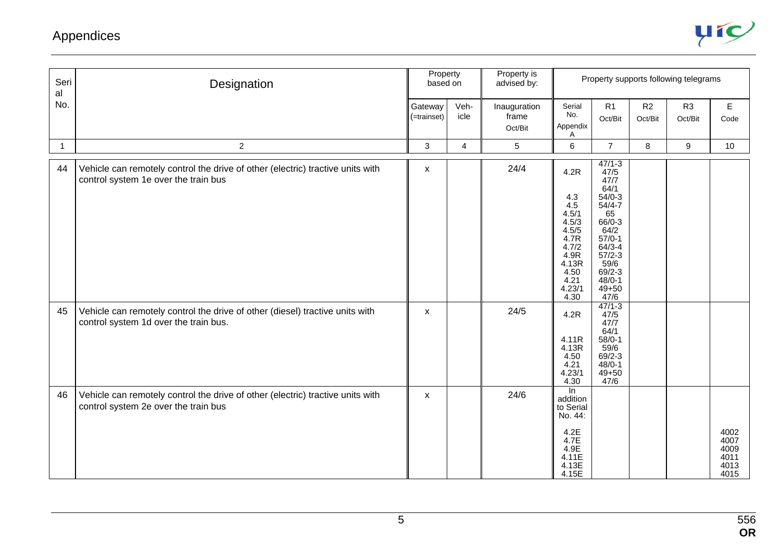

| Seri<br>al   | Designation                                                                                                            | Property<br>based on      |                | Property is<br>advised by:       |                                                                                                                   |                                                                                                                                                                                   |               | Property supports following telegrams |                                              |
|--------------|------------------------------------------------------------------------------------------------------------------------|---------------------------|----------------|----------------------------------|-------------------------------------------------------------------------------------------------------------------|-----------------------------------------------------------------------------------------------------------------------------------------------------------------------------------|---------------|---------------------------------------|----------------------------------------------|
| No.          |                                                                                                                        | Gateway<br>(=trainset)    | Veh-<br>icle   | Inauguration<br>frame<br>Oct/Bit | Serial<br>No.<br>Appendix<br>Α                                                                                    | R1<br>Oct/Bit                                                                                                                                                                     | R2<br>Oct/Bit | R <sub>3</sub><br>Oct/Bit             | E<br>Code                                    |
| $\mathbf{1}$ | $\overline{2}$                                                                                                         | $\mathbf{3}$              | $\overline{4}$ | 5                                | 6                                                                                                                 | $\overline{7}$                                                                                                                                                                    | 8             | 9                                     | 10                                           |
| 44           | Vehicle can remotely control the drive of other (electric) tractive units with<br>control system 1e over the train bus | X                         |                | 24/4                             | 4.2R<br>4.3<br>4.5<br>4.5/1<br>4.5/3<br>4.5/5<br>4.7R<br>4.7/2<br>4.9R<br>4.13R<br>4.50<br>4.21<br>4.23/1<br>4.30 | $47/1 - 3$<br>47/5<br>47/7<br>64/1<br>$54/0-3$<br>$54/4 - 7$<br>65<br>66/0-3<br>64/2<br>$57/0-1$<br>$64/3 - 4$<br>$57/2-3$<br>59/6<br>$69/2 - 3$<br>$48/0-1$<br>$49 + 50$<br>47/6 |               |                                       |                                              |
| 45           | Vehicle can remotely control the drive of other (diesel) tractive units with<br>control system 1d over the train bus.  | $\boldsymbol{\mathsf{x}}$ |                | 24/5                             | 4.2R<br>4.11R<br>4.13R<br>4.50<br>4.21<br>4.23/1<br>4.30                                                          | $47/1 - 3$<br>47/5<br>47/7<br>64/1<br>$58/0-1$<br>59/6<br>$69/2 - 3$<br>$48/0 - 1$<br>$49 + 50$<br>47/6                                                                           |               |                                       |                                              |
| 46           | Vehicle can remotely control the drive of other (electric) tractive units with<br>control system 2e over the train bus | X                         |                | 24/6                             | $\overline{\ln}$<br>addition<br>to Serial<br>No. 44:<br>4.2E<br>4.7E<br>4.9E<br>4.11E<br>4.13E<br>4.15E           |                                                                                                                                                                                   |               |                                       | 4002<br>4007<br>4009<br>4011<br>4013<br>4015 |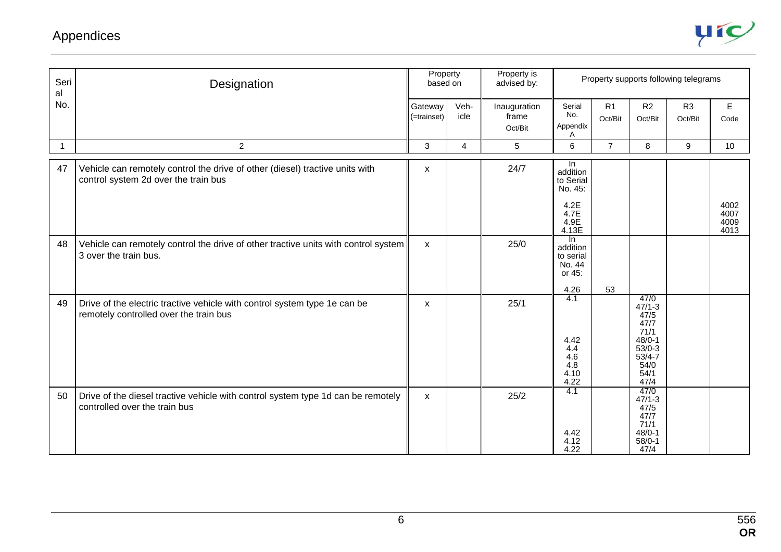

| Seri<br>al   | Designation                                                                                                          | Property<br>based on   |              | Property is<br>advised by:       |                                                                          |                           |                                                                                                            | Property supports following telegrams |                              |
|--------------|----------------------------------------------------------------------------------------------------------------------|------------------------|--------------|----------------------------------|--------------------------------------------------------------------------|---------------------------|------------------------------------------------------------------------------------------------------------|---------------------------------------|------------------------------|
| No.          |                                                                                                                      | Gateway<br>(=trainset) | Veh-<br>icle | Inauguration<br>frame<br>Oct/Bit | Serial<br>No.<br>Appendix<br>A                                           | R <sub>1</sub><br>Oct/Bit | R <sub>2</sub><br>Oct/Bit                                                                                  | R <sub>3</sub><br>Oct/Bit             | E<br>Code                    |
| $\mathbf{1}$ | $\overline{c}$                                                                                                       | 3                      | 4            | 5                                | 6                                                                        | $\overline{7}$            | 8                                                                                                          | 9                                     | 10                           |
| 47           | Vehicle can remotely control the drive of other (diesel) tractive units with<br>control system 2d over the train bus | $\pmb{\mathsf{X}}$     |              | 24/7                             | In.<br>addition<br>to Serial<br>No. 45:<br>4.2E<br>4.7E<br>4.9E<br>4.13E |                           |                                                                                                            |                                       | 4002<br>4007<br>4009<br>4013 |
| 48           | Vehicle can remotely control the drive of other tractive units with control system<br>3 over the train bus.          | $\mathsf{x}$           |              | 25/0                             | In<br>addition<br>to serial<br>No. 44<br>or 45:<br>4.26                  | 53                        |                                                                                                            |                                       |                              |
| 49           | Drive of the electric tractive vehicle with control system type 1e can be<br>remotely controlled over the train bus  | X                      |              | 25/1                             | 4.1<br>4.42<br>4.4<br>4.6<br>4.8<br>4.10<br>4.22                         |                           | 47/0<br>$47/1 - 3$<br>47/5<br>47/7<br>71/1<br>$48/0 - 1$<br>$53/0-3$<br>$53/4 - 7$<br>54/0<br>54/1<br>47/4 |                                       |                              |
| 50           | Drive of the diesel tractive vehicle with control system type 1d can be remotely<br>controlled over the train bus    | $\mathsf{x}$           |              | 25/2                             | 4.1<br>4.42<br>4.12<br>4.22                                              |                           | 47/0<br>$47/1 - 3$<br>47/5<br>47/7<br>71/1<br>$48/0 - 1$<br>$58/0-1$<br>47/4                               |                                       |                              |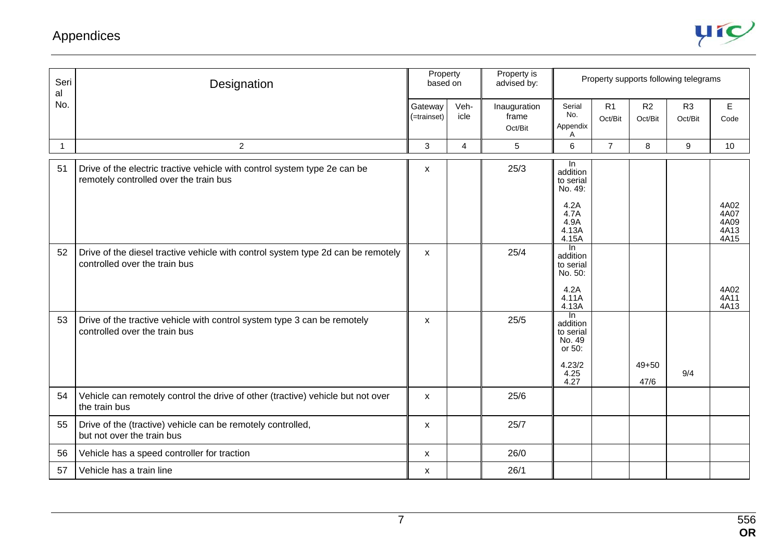

| Seri<br>al   | Designation                                                                                                         | Property<br>based on      |                |                                  |                                                                            | Property is<br>advised by: |                           |                           |                              | Property supports following telegrams |  |
|--------------|---------------------------------------------------------------------------------------------------------------------|---------------------------|----------------|----------------------------------|----------------------------------------------------------------------------|----------------------------|---------------------------|---------------------------|------------------------------|---------------------------------------|--|
| No.          |                                                                                                                     | Gateway<br>(=trainset)    | Veh-<br>icle   | Inauguration<br>frame<br>Oct/Bit | Serial<br>No.<br>Appendix<br>A                                             | R1<br>Oct/Bit              | R <sub>2</sub><br>Oct/Bit | R <sub>3</sub><br>Oct/Bit | E<br>Code                    |                                       |  |
| $\mathbf{1}$ | $\overline{c}$                                                                                                      | 3                         | $\overline{4}$ | 5                                | 6                                                                          | $\overline{7}$             | 8                         | 9                         | 10                           |                                       |  |
| 51           | Drive of the electric tractive vehicle with control system type 2e can be<br>remotely controlled over the train bus | $\mathsf{x}$              |                | 25/3                             | In.<br>addition<br>to serial<br>No. 49:<br>4.2A<br>4.7A<br>4.9A<br>4.13A   |                            |                           |                           | 4A02<br>4A07<br>4A09<br>4A13 |                                       |  |
| 52           | Drive of the diesel tractive vehicle with control system type 2d can be remotely<br>controlled over the train bus   | $\boldsymbol{\mathsf{X}}$ |                | 25/4                             | 4.15A<br>In.<br>addition<br>to serial<br>No. 50:<br>4.2A<br>4.11A<br>4.13A |                            |                           |                           | 4A15<br>4A02<br>4A11<br>4A13 |                                       |  |
| 53           | Drive of the tractive vehicle with control system type 3 can be remotely<br>controlled over the train bus           | X                         |                | 25/5                             | In.<br>addition<br>to serial<br>No. 49<br>or 50:<br>4.23/2<br>4.25<br>4.27 |                            | $49 + 50$<br>47/6         | 9/4                       |                              |                                       |  |
| 54           | Vehicle can remotely control the drive of other (tractive) vehicle but not over<br>the train bus                    | $\boldsymbol{\mathsf{x}}$ |                | 25/6                             |                                                                            |                            |                           |                           |                              |                                       |  |
| 55           | Drive of the (tractive) vehicle can be remotely controlled,<br>but not over the train bus                           | $\boldsymbol{\mathsf{X}}$ |                | 25/7                             |                                                                            |                            |                           |                           |                              |                                       |  |
| 56           | Vehicle has a speed controller for traction                                                                         | X                         |                | 26/0                             |                                                                            |                            |                           |                           |                              |                                       |  |
| 57           | Vehicle has a train line                                                                                            | X                         |                | 26/1                             |                                                                            |                            |                           |                           |                              |                                       |  |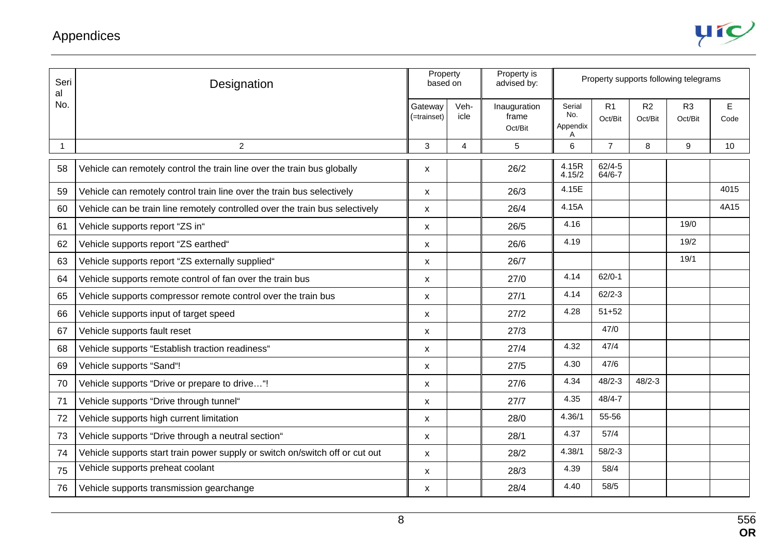| Appendices |  |
|------------|--|
|------------|--|



| Seri<br>al   | Designation                                                                  | Property<br>based on   |                | Property is<br>advised by:       |                                |                           |               | Property supports following telegrams |                     |
|--------------|------------------------------------------------------------------------------|------------------------|----------------|----------------------------------|--------------------------------|---------------------------|---------------|---------------------------------------|---------------------|
| No.          |                                                                              | Gateway<br>(=trainset) | Veh-<br>icle   | Inauguration<br>frame<br>Oct/Bit | Serial<br>No.<br>Appendix<br>Α | R <sub>1</sub><br>Oct/Bit | R2<br>Oct/Bit | R <sub>3</sub><br>Oct/Bit             | $\mathsf E$<br>Code |
| $\mathbf{1}$ | $\overline{c}$                                                               | $\mathfrak{S}$         | $\overline{4}$ | 5                                | 6                              | $\overline{7}$            | 8             | 9                                     | 10                  |
| 58           | Vehicle can remotely control the train line over the train bus globally      | X                      |                | 26/2                             | 4.15R<br>4.15/2                | $62/4 - 5$<br>$64/6 - 7$  |               |                                       |                     |
| 59           | Vehicle can remotely control train line over the train bus selectively       | X                      |                | 26/3                             | 4.15E                          |                           |               |                                       | 4015                |
| 60           | Vehicle can be train line remotely controlled over the train bus selectively | X                      |                | 26/4                             | 4.15A                          |                           |               |                                       | 4A15                |
| 61           | Vehicle supports report "ZS in"                                              | X                      |                | 26/5                             | 4.16                           |                           |               | 19/0                                  |                     |
| 62           | Vehicle supports report "ZS earthed"                                         | X                      |                | 26/6                             | 4.19                           |                           |               | 19/2                                  |                     |
| 63           | Vehicle supports report "ZS externally supplied"                             | X                      |                | 26/7                             |                                |                           |               | 19/1                                  |                     |
| 64           | Vehicle supports remote control of fan over the train bus                    | X                      |                | 27/0                             | 4.14                           | $62/0-1$                  |               |                                       |                     |
| 65           | Vehicle supports compressor remote control over the train bus                | X                      |                | 27/1                             | 4.14                           | $62/2 - 3$                |               |                                       |                     |
| 66           | Vehicle supports input of target speed                                       | X                      |                | 27/2                             | 4.28                           | $51 + 52$                 |               |                                       |                     |
| 67           | Vehicle supports fault reset                                                 | X                      |                | 27/3                             |                                | 47/0                      |               |                                       |                     |
| 68           | Vehicle supports "Establish traction readiness"                              | X                      |                | 27/4                             | 4.32                           | 47/4                      |               |                                       |                     |
| 69           | Vehicle supports "Sand"!                                                     | X                      |                | 27/5                             | 4.30                           | 47/6                      |               |                                       |                     |
| 70           | Vehicle supports "Drive or prepare to drive"!                                | X                      |                | 27/6                             | 4.34                           | $48/2 - 3$                | $48/2 - 3$    |                                       |                     |
| 71           | Vehicle supports "Drive through tunnel"                                      | X                      |                | 27/7                             | 4.35                           | $48/4 - 7$                |               |                                       |                     |
| 72           | Vehicle supports high current limitation                                     | X                      |                | 28/0                             | 4.36/1                         | 55-56                     |               |                                       |                     |
| 73           | Vehicle supports "Drive through a neutral section"                           | X                      |                | 28/1                             | 4.37                           | 57/4                      |               |                                       |                     |
| 74           | Vehicle supports start train power supply or switch on/switch off or cut out | X                      |                | 28/2                             | 4.38/1                         | $58/2 - 3$                |               |                                       |                     |
| 75           | Vehicle supports preheat coolant                                             | X                      |                | 28/3                             | 4.39                           | 58/4                      |               |                                       |                     |
| 76           | Vehicle supports transmission gearchange                                     | X                      |                | 28/4                             | 4.40                           | 58/5                      |               |                                       |                     |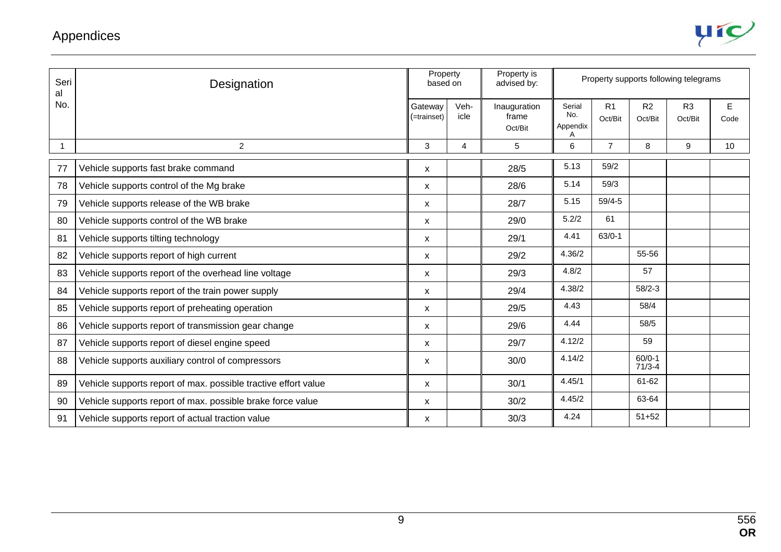

| Seri<br>al | Designation                                                    | Property<br>based on      |                | Property is<br>advised by:       |                           |                           |                           | Property supports following telegrams |                     |
|------------|----------------------------------------------------------------|---------------------------|----------------|----------------------------------|---------------------------|---------------------------|---------------------------|---------------------------------------|---------------------|
| No.        |                                                                | Gateway<br>(=trainset)    | Veh-<br>icle   | Inauguration<br>frame<br>Oct/Bit | Serial<br>No.<br>Appendix | R <sub>1</sub><br>Oct/Bit | R <sub>2</sub><br>Oct/Bit | R <sub>3</sub><br>Oct/Bit             | $\mathsf E$<br>Code |
|            | $\overline{c}$                                                 | 3                         | $\overline{4}$ | 5                                | 6                         | $\overline{7}$            | 8                         | 9                                     | 10                  |
| 77         | Vehicle supports fast brake command                            | X                         |                | 28/5                             | 5.13                      | 59/2                      |                           |                                       |                     |
| 78         | Vehicle supports control of the Mg brake                       | X                         |                | 28/6                             | 5.14                      | 59/3                      |                           |                                       |                     |
| 79         | Vehicle supports release of the WB brake                       | X                         |                | 28/7                             | 5.15                      | $59/4 - 5$                |                           |                                       |                     |
| 80         | Vehicle supports control of the WB brake                       | $\boldsymbol{\mathsf{x}}$ |                | 29/0                             | 5.2/2                     | 61                        |                           |                                       |                     |
| 81         | Vehicle supports tilting technology                            | $\mathsf{x}$              |                | 29/1                             | 4.41                      | $63/0-1$                  |                           |                                       |                     |
| 82         | Vehicle supports report of high current                        | $\boldsymbol{\mathsf{x}}$ |                | 29/2                             | 4.36/2                    |                           | 55-56                     |                                       |                     |
| 83         | Vehicle supports report of the overhead line voltage           | $\pmb{\mathsf{X}}$        |                | 29/3                             | 4.8/2                     |                           | 57                        |                                       |                     |
| 84         | Vehicle supports report of the train power supply              | X                         |                | 29/4                             | 4.38/2                    |                           | $58/2 - 3$                |                                       |                     |
| 85         | Vehicle supports report of preheating operation                | $\boldsymbol{\mathsf{x}}$ |                | 29/5                             | 4.43                      |                           | 58/4                      |                                       |                     |
| 86         | Vehicle supports report of transmission gear change            | X                         |                | 29/6                             | 4.44                      |                           | 58/5                      |                                       |                     |
| 87         | Vehicle supports report of diesel engine speed                 | $\boldsymbol{\mathsf{x}}$ |                | 29/7                             | 4.12/2                    |                           | 59                        |                                       |                     |
| 88         | Vehicle supports auxiliary control of compressors              | X                         |                | 30/0                             | 4.14/2                    |                           | $60/0-1$<br>$71/3 - 4$    |                                       |                     |
| 89         | Vehicle supports report of max. possible tractive effort value | X                         |                | 30/1                             | 4.45/1                    |                           | 61-62                     |                                       |                     |
| 90         | Vehicle supports report of max. possible brake force value     | $\boldsymbol{\mathsf{X}}$ |                | 30/2                             | 4.45/2                    |                           | 63-64                     |                                       |                     |
| 91         | Vehicle supports report of actual traction value               | X                         |                | 30/3                             | 4.24                      |                           | $51 + 52$                 |                                       |                     |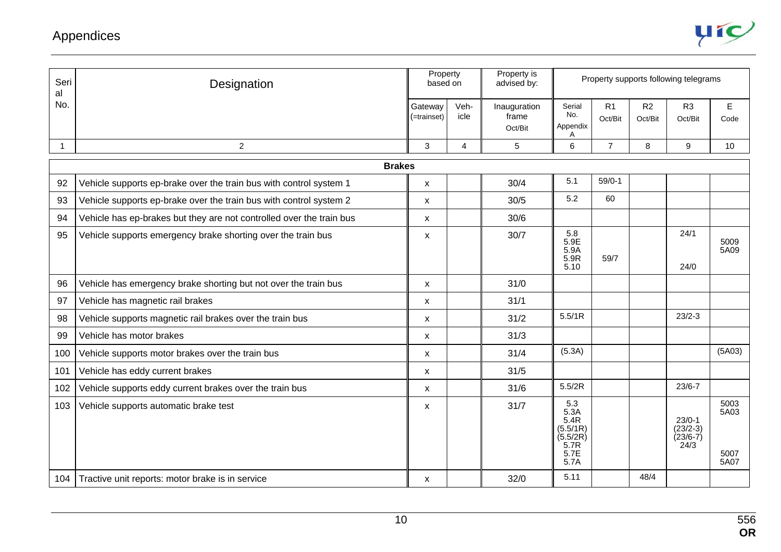

| Seri<br>al   | Designation                                                          | Property<br>based on      |                | Property is<br>advised by:       |                                                                     |                           | Property supports following telegrams |                                              |                              |
|--------------|----------------------------------------------------------------------|---------------------------|----------------|----------------------------------|---------------------------------------------------------------------|---------------------------|---------------------------------------|----------------------------------------------|------------------------------|
| No.          |                                                                      | Gateway<br>(=trainset)    | Veh-<br>icle   | Inauguration<br>frame<br>Oct/Bit | Serial<br>No.<br>Appendix<br>A                                      | R <sub>1</sub><br>Oct/Bit | R <sub>2</sub><br>Oct/Bit             | R <sub>3</sub><br>Oct/Bit                    | E<br>Code                    |
| $\mathbf{1}$ | $\boldsymbol{2}$                                                     | 3                         | $\overline{4}$ | 5                                | 6                                                                   | $\overline{7}$            | 8                                     | 9                                            | 10                           |
|              | <b>Brakes</b>                                                        |                           |                |                                  |                                                                     |                           |                                       |                                              |                              |
| 92           | Vehicle supports ep-brake over the train bus with control system 1   | X                         |                | 30/4                             | 5.1                                                                 | $59/0-1$                  |                                       |                                              |                              |
| 93           | Vehicle supports ep-brake over the train bus with control system 2   | $\boldsymbol{\mathsf{x}}$ |                | 30/5                             | 5.2                                                                 | 60                        |                                       |                                              |                              |
| 94           | Vehicle has ep-brakes but they are not controlled over the train bus | X                         |                | 30/6                             |                                                                     |                           |                                       |                                              |                              |
| 95           | Vehicle supports emergency brake shorting over the train bus         | X                         |                | 30/7                             | 5.8<br>5.9E<br>5.9A<br>5.9R<br>5.10                                 | 59/7                      |                                       | 24/1<br>24/0                                 | 5009<br>5A09                 |
| 96           | Vehicle has emergency brake shorting but not over the train bus      | X                         |                | 31/0                             |                                                                     |                           |                                       |                                              |                              |
| 97           | Vehicle has magnetic rail brakes                                     | X                         |                | 31/1                             |                                                                     |                           |                                       |                                              |                              |
| 98           | Vehicle supports magnetic rail brakes over the train bus             | $\pmb{\mathsf{X}}$        |                | 31/2                             | 5.5/1R                                                              |                           |                                       | $23/2 - 3$                                   |                              |
| 99           | Vehicle has motor brakes                                             | X                         |                | 31/3                             |                                                                     |                           |                                       |                                              |                              |
| 100          | Vehicle supports motor brakes over the train bus                     | X                         |                | 31/4                             | (5.3A)                                                              |                           |                                       |                                              | (5A03)                       |
| 101          | Vehicle has eddy current brakes                                      | X                         |                | 31/5                             |                                                                     |                           |                                       |                                              |                              |
| 102          | Vehicle supports eddy current brakes over the train bus              | $\pmb{\mathsf{X}}$        |                | 31/6                             | 5.5/2R                                                              |                           |                                       | $23/6 - 7$                                   |                              |
| 103          | Vehicle supports automatic brake test                                | X                         |                | 31/7                             | 5.3<br>5.3A<br>5.4R<br>(5.5/1R)<br>(5.5/2R)<br>5.7R<br>5.7E<br>5.7A |                           |                                       | $23/0-1$<br>$(23/2-3)$<br>$(23/6-7)$<br>24/3 | 5003<br>5A03<br>5007<br>5A07 |
| 104          | Tractive unit reports: motor brake is in service                     | X                         |                | 32/0                             | 5.11                                                                |                           | 48/4                                  |                                              |                              |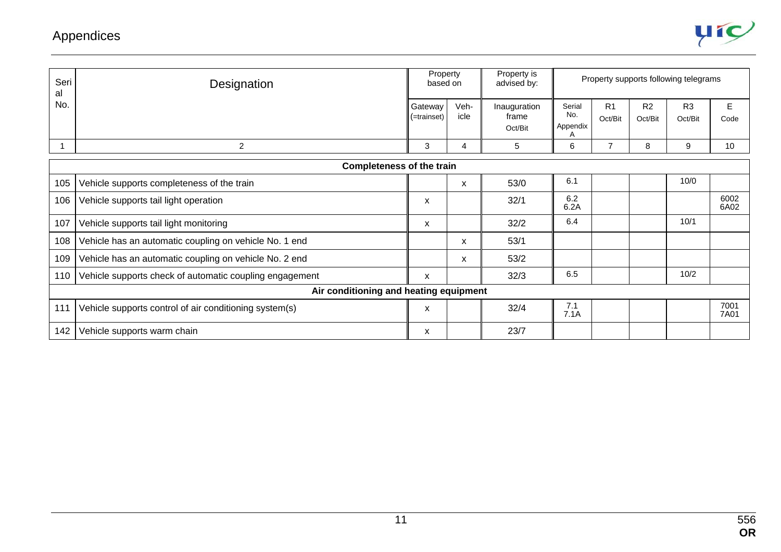

| Seri<br>al | Designation                                             | Property<br>based on   |              | Property is<br>advised by:       | Property supports following telegrams |                           |                           |                           |              |
|------------|---------------------------------------------------------|------------------------|--------------|----------------------------------|---------------------------------------|---------------------------|---------------------------|---------------------------|--------------|
| No.        |                                                         | Gateway<br>(=trainset) | Veh-<br>icle | Inauguration<br>frame<br>Oct/Bit | Serial<br>No.<br>Appendix             | R <sub>1</sub><br>Oct/Bit | R <sub>2</sub><br>Oct/Bit | R <sub>3</sub><br>Oct/Bit | E<br>Code    |
|            | $\overline{c}$                                          | 3                      | 4            | 5                                | 6                                     | $\overline{7}$            | 8                         | 9                         | 10           |
|            | <b>Completeness of the train</b>                        |                        |              |                                  |                                       |                           |                           |                           |              |
| 105        | Vehicle supports completeness of the train              |                        | X            | 53/0                             | 6.1                                   |                           |                           | 10/0                      |              |
| 106        | Vehicle supports tail light operation                   | X                      |              | 32/1                             | 6.2<br>6.2A                           |                           |                           |                           | 6002<br>6A02 |
| 107        | Vehicle supports tail light monitoring                  | X                      |              | 32/2                             | 6.4                                   |                           |                           | 10/1                      |              |
| 108        | Vehicle has an automatic coupling on vehicle No. 1 end  |                        | X            | 53/1                             |                                       |                           |                           |                           |              |
| 109        | Vehicle has an automatic coupling on vehicle No. 2 end  |                        | X            | 53/2                             |                                       |                           |                           |                           |              |
| 110        | Vehicle supports check of automatic coupling engagement | X                      |              | 32/3                             | 6.5                                   |                           |                           | 10/2                      |              |
|            | Air conditioning and heating equipment                  |                        |              |                                  |                                       |                           |                           |                           |              |
| 111        | Vehicle supports control of air conditioning system(s)  | X                      |              | 32/4                             | 7.1<br>7.1A                           |                           |                           |                           | 7001<br>7A01 |
| 142        | Vehicle supports warm chain                             | X                      |              | 23/7                             |                                       |                           |                           |                           |              |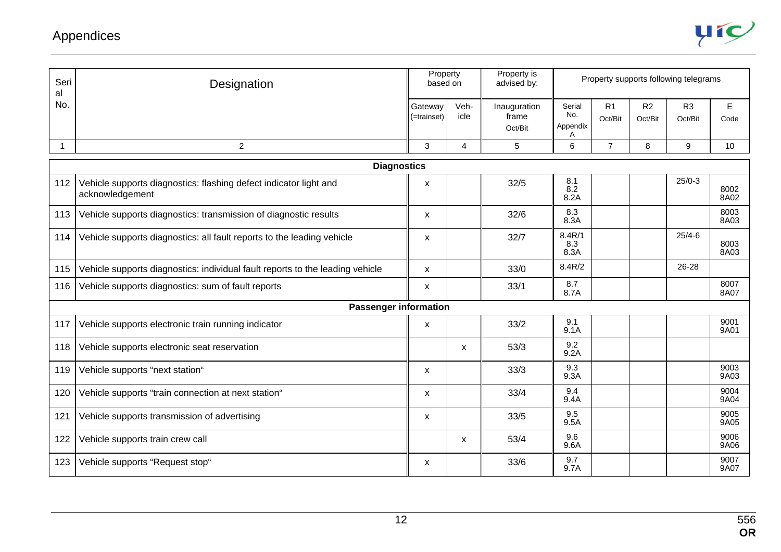

| Seri<br>al | Designation                                                                          |                           | Property<br>based on | Property is<br>advised by:       |                                |                           |                           | Property supports following telegrams |              |  |  |
|------------|--------------------------------------------------------------------------------------|---------------------------|----------------------|----------------------------------|--------------------------------|---------------------------|---------------------------|---------------------------------------|--------------|--|--|
| No.        |                                                                                      | Gateway<br>$($ =trainset) | Veh-<br>icle         | Inauguration<br>frame<br>Oct/Bit | Serial<br>No.<br>Appendix<br>Α | R <sub>1</sub><br>Oct/Bit | R <sub>2</sub><br>Oct/Bit | R <sub>3</sub><br>Oct/Bit             | E<br>Code    |  |  |
| 1          | $\overline{2}$                                                                       | 3                         | $\overline{4}$       | 5                                | 6                              | $\overline{7}$            | 8                         | 9                                     | 10           |  |  |
|            | <b>Diagnostics</b>                                                                   |                           |                      |                                  |                                |                           |                           |                                       |              |  |  |
| 112        | Vehicle supports diagnostics: flashing defect indicator light and<br>acknowledgement | X                         |                      | 32/5                             | 8.1<br>8.2<br>8.2A             |                           |                           | $25/0-3$                              | 8002<br>8A02 |  |  |
| 113        | Vehicle supports diagnostics: transmission of diagnostic results                     | X                         |                      | 32/6                             | 8.3<br>8.3A                    |                           |                           |                                       | 8003<br>8A03 |  |  |
| 114        | Vehicle supports diagnostics: all fault reports to the leading vehicle               | X                         |                      | 32/7                             | 8.4R/1<br>8.3<br>8.3A          |                           |                           | $25/4 - 6$                            | 8003<br>8A03 |  |  |
| 115        | Vehicle supports diagnostics: individual fault reports to the leading vehicle        | X                         |                      | 33/0                             | 8.4R/2                         |                           |                           | 26-28                                 |              |  |  |
| 116        | Vehicle supports diagnostics: sum of fault reports                                   | X                         |                      | 33/1                             | 8.7<br>8.7A                    |                           |                           |                                       | 8007<br>8A07 |  |  |
|            | <b>Passenger information</b>                                                         |                           |                      |                                  |                                |                           |                           |                                       |              |  |  |
| 117        | Vehicle supports electronic train running indicator                                  | X                         |                      | 33/2                             | 9.1<br>9.1A                    |                           |                           |                                       | 9001<br>9A01 |  |  |
| 118        | Vehicle supports electronic seat reservation                                         |                           | X                    | 53/3                             | 9.2<br>9.2A                    |                           |                           |                                       |              |  |  |
| 119        | Vehicle supports "next station"                                                      | X                         |                      | 33/3                             | 9.3<br>9.3A                    |                           |                           |                                       | 9003<br>9A03 |  |  |
| 120        | Vehicle supports "train connection at next station"                                  | X                         |                      | 33/4                             | 9.4<br>9.4A                    |                           |                           |                                       | 9004<br>9A04 |  |  |
| 121        | Vehicle supports transmission of advertising                                         | X                         |                      | 33/5                             | 9.5<br>9.5A                    |                           |                           |                                       | 9005<br>9A05 |  |  |
| 122        | Vehicle supports train crew call                                                     |                           | X                    | 53/4                             | 9.6<br>9.6A                    |                           |                           |                                       | 9006<br>9A06 |  |  |
| 123        | Vehicle supports "Request stop"                                                      | X                         |                      | 33/6                             | 9.7<br>9.7A                    |                           |                           |                                       | 9007<br>9A07 |  |  |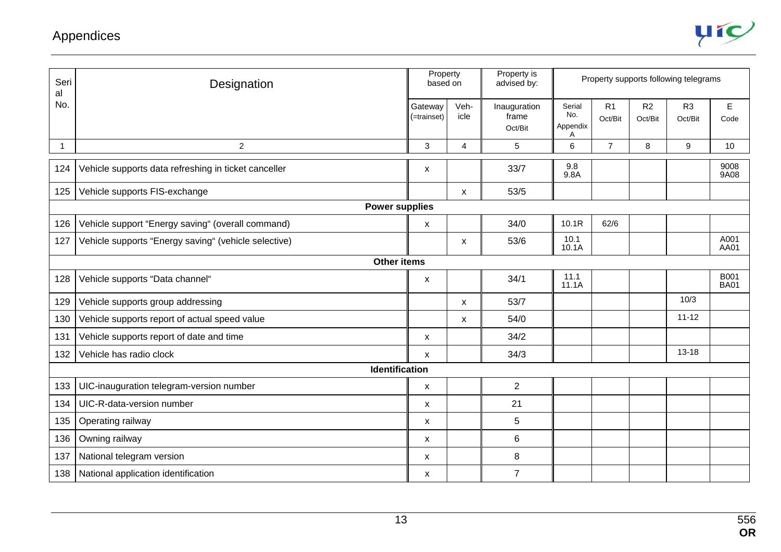

| Seri<br>al  | Designation                                                          | Property<br>based on      |                | Property is<br>advised by:       | Property supports following telegrams |                |               |                           |                     |
|-------------|----------------------------------------------------------------------|---------------------------|----------------|----------------------------------|---------------------------------------|----------------|---------------|---------------------------|---------------------|
| No.         |                                                                      | Gateway<br>(=trainset)    | Veh-<br>icle   | Inauguration<br>frame<br>Oct/Bit | Serial<br>No.<br>Appendix<br>A        | R1<br>Oct/Bit  | R2<br>Oct/Bit | R <sub>3</sub><br>Oct/Bit | E<br>Code           |
| $\mathbf 1$ | $\overline{c}$                                                       | 3                         | $\overline{4}$ | 5                                | 6                                     | $\overline{7}$ | 8             | 9                         | 10                  |
| 124         | Vehicle supports data refreshing in ticket canceller                 | X                         |                | 33/7                             | 9.8<br>9.8A                           |                |               |                           | 9008<br>9A08        |
| 125         | Vehicle supports FIS-exchange<br>53/5<br>$\mathsf{x}$                |                           |                |                                  |                                       |                |               |                           |                     |
|             | <b>Power supplies</b>                                                |                           |                |                                  |                                       |                |               |                           |                     |
| 126         | Vehicle support "Energy saving" (overall command)                    | X                         |                | 34/0                             | 10.1R                                 | 62/6           |               |                           |                     |
| 127         | Vehicle supports "Energy saving" (vehicle selective)<br>$\mathsf{x}$ |                           |                |                                  | 10.1<br>10.1A                         |                |               |                           | A001<br>AA01        |
|             | <b>Other items</b>                                                   |                           |                |                                  |                                       |                |               |                           |                     |
| 128         | Vehicle supports "Data channel"                                      | X                         |                | 34/1                             | 11.1<br>11.1A                         |                |               |                           | B001<br><b>BA01</b> |
| 129         | Vehicle supports group addressing                                    |                           | X              | 53/7                             |                                       |                |               | 10/3                      |                     |
| 130         | Vehicle supports report of actual speed value                        |                           | X              | 54/0                             |                                       |                |               | $11 - 12$                 |                     |
| 131         | Vehicle supports report of date and time                             | X                         |                | 34/2                             |                                       |                |               |                           |                     |
| 132         | Vehicle has radio clock                                              | $\boldsymbol{\mathsf{X}}$ |                | 34/3                             |                                       |                |               | $13 - 18$                 |                     |
|             | <b>Identification</b>                                                |                           |                |                                  |                                       |                |               |                           |                     |
| 133         | UIC-inauguration telegram-version number                             | X                         |                | 2                                |                                       |                |               |                           |                     |
| 134         | UIC-R-data-version number                                            | $\boldsymbol{\mathsf{X}}$ |                | 21                               |                                       |                |               |                           |                     |
| 135         | Operating railway                                                    | X                         |                | 5                                |                                       |                |               |                           |                     |
| 136         | Owning railway                                                       | X                         |                | $\,6\,$                          |                                       |                |               |                           |                     |
| 137         | National telegram version                                            | X                         |                | 8                                |                                       |                |               |                           |                     |
| 138         | National application identification                                  | X                         |                | $\overline{7}$                   |                                       |                |               |                           |                     |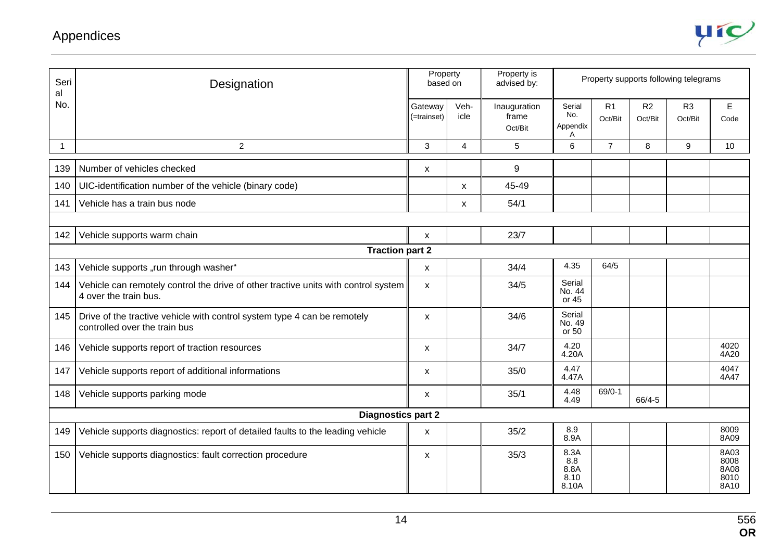

| Seri<br>al   | Designation                                                                                                                  |                        | Property<br>based on | Property is<br>advised by:       |                                      |                |               | Property supports following telegrams |                                      |
|--------------|------------------------------------------------------------------------------------------------------------------------------|------------------------|----------------------|----------------------------------|--------------------------------------|----------------|---------------|---------------------------------------|--------------------------------------|
| No.          |                                                                                                                              | Gateway<br>(=trainset) | Veh-<br>icle         | Inauguration<br>frame<br>Oct/Bit | Serial<br>No.<br>Appendix<br>A       | R1<br>Oct/Bit  | R2<br>Oct/Bit | R <sub>3</sub><br>Oct/Bit             | E<br>Code                            |
| $\mathbf{1}$ | $\overline{2}$<br>3<br>$\overline{4}$<br>5                                                                                   |                        |                      |                                  | $6\phantom{a}$                       | $\overline{7}$ | 8             | 9                                     | 10                                   |
| 139          | Number of vehicles checked                                                                                                   | X                      |                      | 9                                |                                      |                |               |                                       |                                      |
| 140          | UIC-identification number of the vehicle (binary code)<br>X                                                                  |                        |                      | 45-49                            |                                      |                |               |                                       |                                      |
| 141          | 54/1<br>Vehicle has a train bus node<br>X                                                                                    |                        |                      |                                  |                                      |                |               |                                       |                                      |
|              |                                                                                                                              |                        |                      |                                  |                                      |                |               |                                       |                                      |
| 142          | Vehicle supports warm chain<br>23/7<br>X                                                                                     |                        |                      |                                  |                                      |                |               |                                       |                                      |
|              | <b>Traction part 2</b>                                                                                                       |                        |                      |                                  |                                      |                |               |                                       |                                      |
| 143          | Vehicle supports "run through washer"                                                                                        | $\mathsf{x}$           |                      | 34/4                             | 4.35                                 | 64/5           |               |                                       |                                      |
| 144          | Vehicle can remotely control the drive of other tractive units with control system<br>4 over the train bus.                  | X                      |                      | 34/5                             | Serial<br>No. 44<br>or 45            |                |               |                                       |                                      |
|              | 34/6<br>145   Drive of the tractive vehicle with control system type 4 can be remotely<br>X<br>controlled over the train bus |                        |                      | Serial<br>No. 49<br>or 50        |                                      |                |               |                                       |                                      |
| 146          | Vehicle supports report of traction resources                                                                                | X                      |                      | 34/7                             | 4.20<br>4.20A                        |                |               |                                       | 4020<br>4A20                         |
| 147          | Vehicle supports report of additional informations                                                                           | X                      |                      | 35/0                             | 4.47<br>4.47A                        |                |               |                                       | 4047<br>4A47                         |
| 148          | Vehicle supports parking mode                                                                                                | 35/1<br>X              |                      | 4.48<br>4.49                     | $69/0-1$                             | 66/4-5         |               |                                       |                                      |
|              | <b>Diagnostics part 2</b>                                                                                                    |                        |                      |                                  |                                      |                |               |                                       |                                      |
| 149          | Vehicle supports diagnostics: report of detailed faults to the leading vehicle                                               | X                      |                      | 35/2                             | 8.9<br>8.9A                          |                |               |                                       | 8009<br>8A09                         |
| 150          | Vehicle supports diagnostics: fault correction procedure                                                                     | X                      |                      | 35/3                             | 8.3A<br>8.8<br>8.8A<br>8.10<br>8.10A |                |               |                                       | 8A03<br>8008<br>8A08<br>8010<br>8A10 |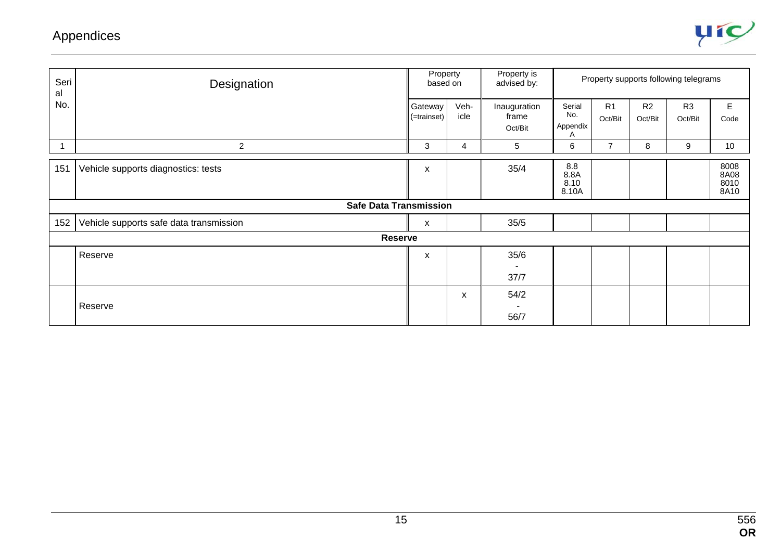

| Seri<br>al | Designation                             |                        | Property<br>based on | Property is<br>advised by:       | Property supports following telegrams |                           |                           |                           |                              |
|------------|-----------------------------------------|------------------------|----------------------|----------------------------------|---------------------------------------|---------------------------|---------------------------|---------------------------|------------------------------|
| No.        |                                         | Gateway<br>(=trainset) | Veh-<br>icle         | Inauguration<br>frame<br>Oct/Bit | Serial<br>No.<br>Appendix             | R <sub>1</sub><br>Oct/Bit | R <sub>2</sub><br>Oct/Bit | R <sub>3</sub><br>Oct/Bit | E<br>Code                    |
|            | $\overline{2}$                          | 3                      | 4                    | 5 <sup>5</sup>                   | 6                                     | $\overline{7}$            | 8                         | $\boldsymbol{9}$          | 10                           |
| 151        | Vehicle supports diagnostics: tests     | X                      |                      | 35/4                             | 8.8<br>8.8A<br>8.10<br>8.10A          |                           |                           |                           | 8008<br>8A08<br>8010<br>8A10 |
|            | <b>Safe Data Transmission</b>           |                        |                      |                                  |                                       |                           |                           |                           |                              |
| 152        | Vehicle supports safe data transmission | X                      |                      | 35/5                             |                                       |                           |                           |                           |                              |
|            | Reserve                                 |                        |                      |                                  |                                       |                           |                           |                           |                              |
|            | Reserve                                 | X                      |                      | 35/6                             |                                       |                           |                           |                           |                              |
|            |                                         |                        |                      | 37/7                             |                                       |                           |                           |                           |                              |
|            | Reserve                                 |                        | X                    | 54/2<br>56/7                     |                                       |                           |                           |                           |                              |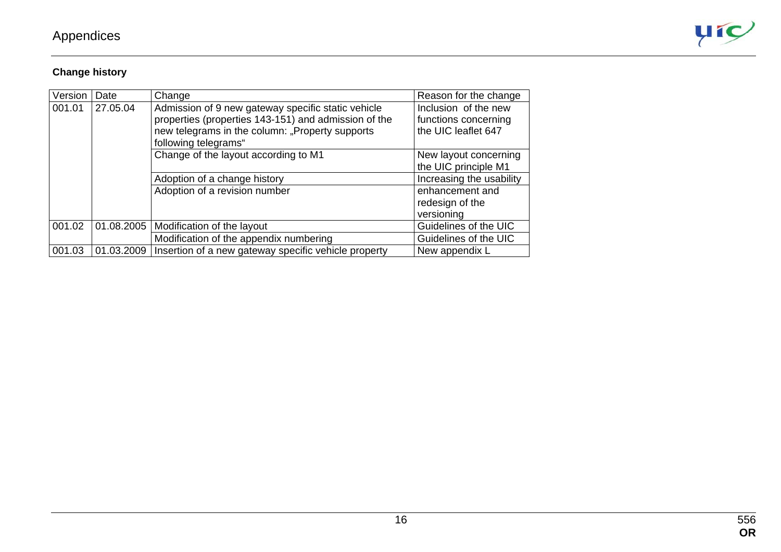

#### **Change history**

| Version | Date       | Change                                                                                                                                                                                | Reason for the change                                               |
|---------|------------|---------------------------------------------------------------------------------------------------------------------------------------------------------------------------------------|---------------------------------------------------------------------|
| 001.01  | 27.05.04   | Admission of 9 new gateway specific static vehicle<br>properties (properties 143-151) and admission of the<br>new telegrams in the column: "Property supports<br>following telegrams" | Inclusion of the new<br>functions concerning<br>the UIC leaflet 647 |
|         |            | Change of the layout according to M1                                                                                                                                                  | New layout concerning<br>the UIC principle M1                       |
|         |            | Adoption of a change history                                                                                                                                                          | Increasing the usability                                            |
|         |            | Adoption of a revision number                                                                                                                                                         | enhancement and<br>redesign of the<br>versioning                    |
| 001.02  | 01.08.2005 | Modification of the layout                                                                                                                                                            | Guidelines of the UIC                                               |
|         |            | Modification of the appendix numbering                                                                                                                                                | Guidelines of the UIC                                               |
| 001.03  | 01.03.2009 | Insertion of a new gateway specific vehicle property                                                                                                                                  | New appendix L                                                      |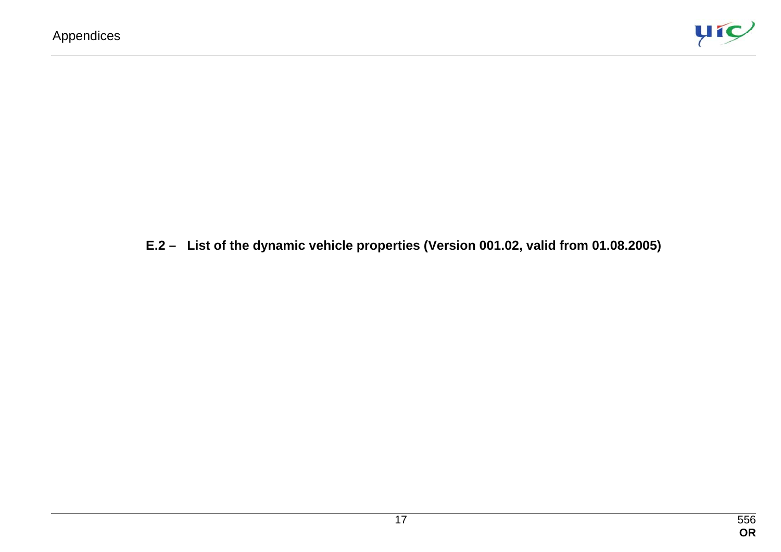

#### **E.2 – List of the dynamic vehicle properties (Version 001.02, valid from 01.08.2005)**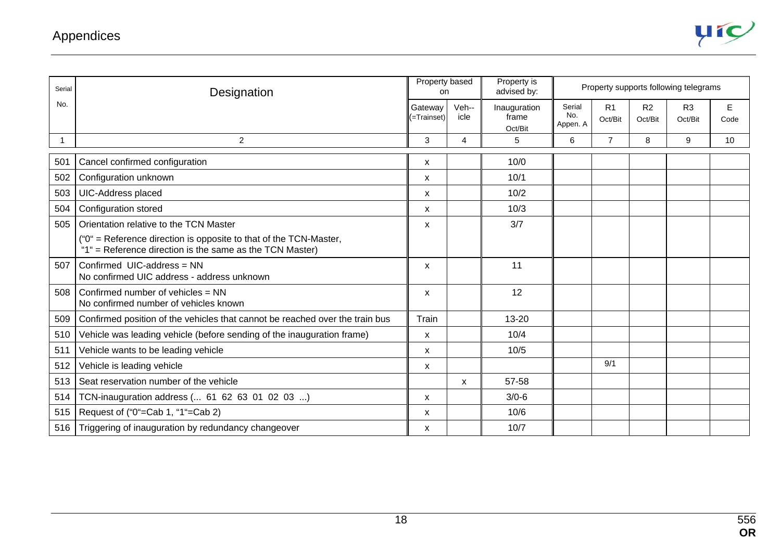

| Serial | Designation                                                                                                                   |                           | Property based<br>on. | Property is<br>advised by:       | Property supports following telegrams |                |                           |                           |            |
|--------|-------------------------------------------------------------------------------------------------------------------------------|---------------------------|-----------------------|----------------------------------|---------------------------------------|----------------|---------------------------|---------------------------|------------|
| No.    |                                                                                                                               | Gateway<br>(=Trainset)    | Veh--<br>icle         | Inauguration<br>frame<br>Oct/Bit | Serial<br>No.<br>Appen. A             | R1<br>Oct/Bit  | R <sub>2</sub><br>Oct/Bit | R <sub>3</sub><br>Oct/Bit | E.<br>Code |
|        | 2                                                                                                                             | 3                         | 4                     | 5                                | 6                                     | $\overline{7}$ | 8                         | 9                         | 10         |
| 501    | Cancel confirmed configuration                                                                                                | $\boldsymbol{\mathsf{x}}$ |                       | 10/0                             |                                       |                |                           |                           |            |
| 502    | Configuration unknown                                                                                                         | X                         |                       | 10/1                             |                                       |                |                           |                           |            |
| 503    | UIC-Address placed                                                                                                            | $\boldsymbol{\mathsf{x}}$ |                       | 10/2                             |                                       |                |                           |                           |            |
| 504    | Configuration stored                                                                                                          | $\boldsymbol{\mathsf{X}}$ |                       | 10/3                             |                                       |                |                           |                           |            |
| 505    | Orientation relative to the TCN Master                                                                                        | X                         |                       | 3/7                              |                                       |                |                           |                           |            |
|        | ("0" = Reference direction is opposite to that of the TCN-Master,<br>"1" = Reference direction is the same as the TCN Master) |                           |                       |                                  |                                       |                |                           |                           |            |
| 507    | Confirmed UIC-address = NN<br>No confirmed UIC address - address unknown                                                      | $\boldsymbol{\mathsf{x}}$ |                       | 11                               |                                       |                |                           |                           |            |
| 508    | Confirmed number of vehicles = NN<br>No confirmed number of vehicles known                                                    | $\boldsymbol{\mathsf{x}}$ |                       | 12                               |                                       |                |                           |                           |            |
| 509    | Confirmed position of the vehicles that cannot be reached over the train bus                                                  | Train                     |                       | 13-20                            |                                       |                |                           |                           |            |
| 510    | Vehicle was leading vehicle (before sending of the inauguration frame)                                                        | $\boldsymbol{\mathsf{x}}$ |                       | 10/4                             |                                       |                |                           |                           |            |
| 511    | Vehicle wants to be leading vehicle                                                                                           | $\boldsymbol{\mathsf{X}}$ |                       | 10/5                             |                                       |                |                           |                           |            |
| 512    | Vehicle is leading vehicle                                                                                                    | X                         |                       |                                  |                                       | 9/1            |                           |                           |            |
| 513    | Seat reservation number of the vehicle                                                                                        |                           | X                     | 57-58                            |                                       |                |                           |                           |            |
| 514    | TCN-inauguration address ( 61 62 63 01 02 03 )                                                                                | $\boldsymbol{\mathsf{x}}$ |                       | $3/0 - 6$                        |                                       |                |                           |                           |            |
| 515    | Request of ("0"=Cab 1, "1"=Cab 2)                                                                                             | $\boldsymbol{\mathsf{x}}$ |                       | 10/6                             |                                       |                |                           |                           |            |
| 516    | Triggering of inauguration by redundancy changeover                                                                           | X                         |                       | 10/7                             |                                       |                |                           |                           |            |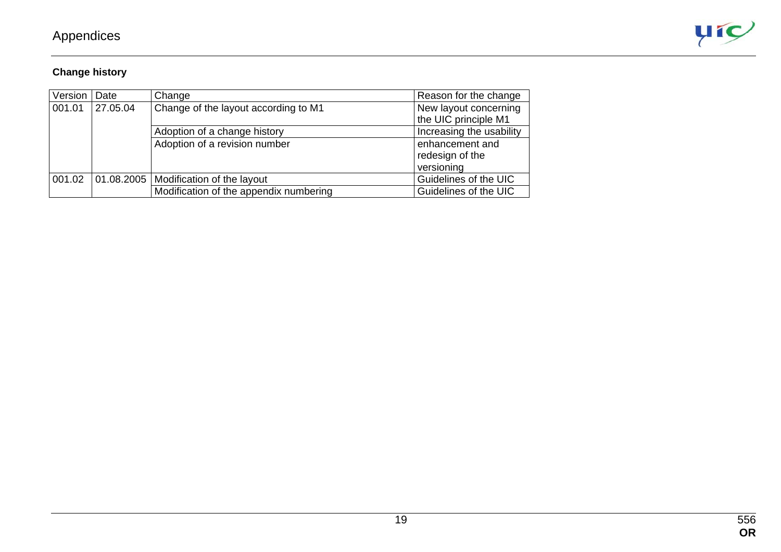

#### **Change history**

| Version | Date     | Change                                  | Reason for the change                         |
|---------|----------|-----------------------------------------|-----------------------------------------------|
| 001.01  | 27.05.04 | Change of the layout according to M1    | New layout concerning<br>the UIC principle M1 |
|         |          | Adoption of a change history            | Increasing the usability                      |
|         |          | Adoption of a revision number           | enhancement and<br>redesign of the            |
|         |          |                                         | versioning                                    |
| 001.02  |          | 01.08.2005   Modification of the layout | Guidelines of the UIC                         |
|         |          | Modification of the appendix numbering  | Guidelines of the UIC                         |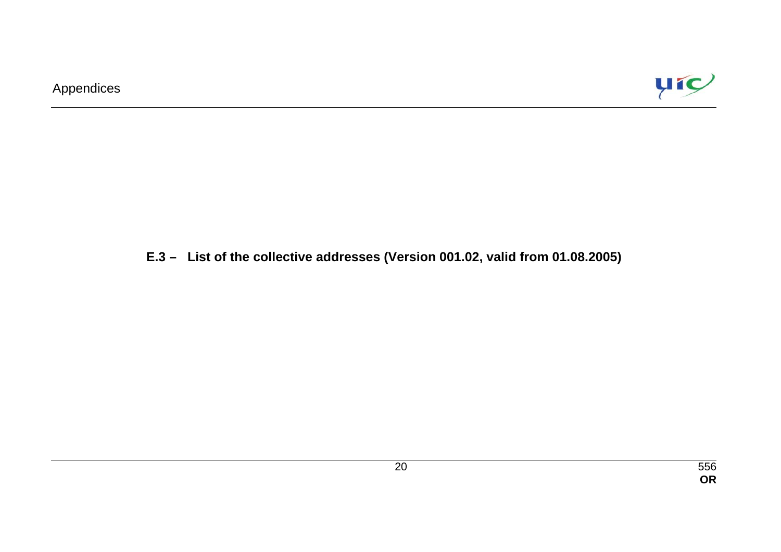

## **E.3 – List of the collective addresses (Version 001.02, valid from 01.08.2005)**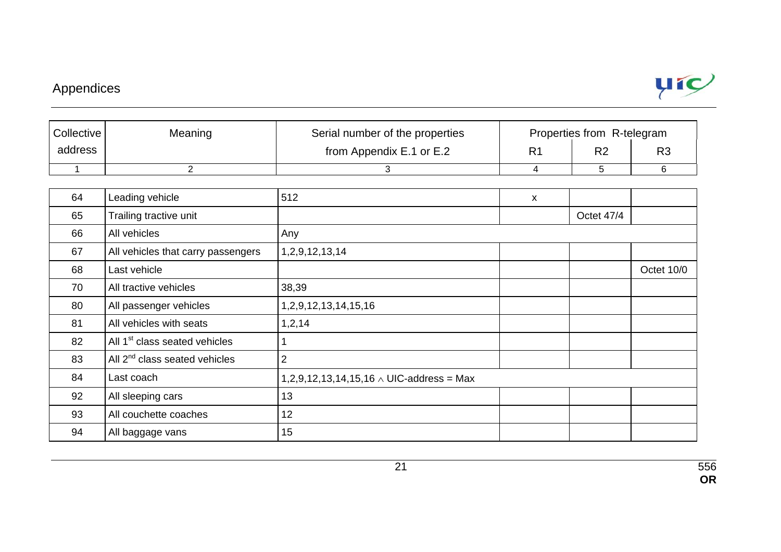

| Collective | Meaning | Serial number of the properties | Properties from R-telegram |                |    |  |  |
|------------|---------|---------------------------------|----------------------------|----------------|----|--|--|
| address    |         | from Appendix E.1 or E.2        | R1                         | R <sub>2</sub> | R3 |  |  |
|            |         |                                 |                            |                |    |  |  |

| 64 | Leading vehicle                           | 512                                                           | $\mathsf{x}$ |            |            |
|----|-------------------------------------------|---------------------------------------------------------------|--------------|------------|------------|
| 65 | Trailing tractive unit                    |                                                               |              | Octet 47/4 |            |
| 66 | All vehicles                              | Any                                                           |              |            |            |
| 67 | All vehicles that carry passengers        | 1, 2, 9, 12, 13, 14                                           |              |            |            |
| 68 | Last vehicle                              |                                                               |              |            | Octet 10/0 |
| 70 | All tractive vehicles                     | 38,39                                                         |              |            |            |
| 80 | All passenger vehicles                    | 1, 2, 9, 12, 13, 14, 15, 16                                   |              |            |            |
| 81 | All vehicles with seats                   | 1, 2, 14                                                      |              |            |            |
| 82 | All 1 <sup>st</sup> class seated vehicles |                                                               |              |            |            |
| 83 | All 2 <sup>nd</sup> class seated vehicles | $\overline{2}$                                                |              |            |            |
| 84 | Last coach                                | $1,2,9,12,13,14,15,16 \wedge \text{UIC-address} = \text{Max}$ |              |            |            |
| 92 | All sleeping cars                         | 13                                                            |              |            |            |
| 93 | All couchette coaches                     | 12                                                            |              |            |            |
| 94 | All baggage vans                          | 15                                                            |              |            |            |